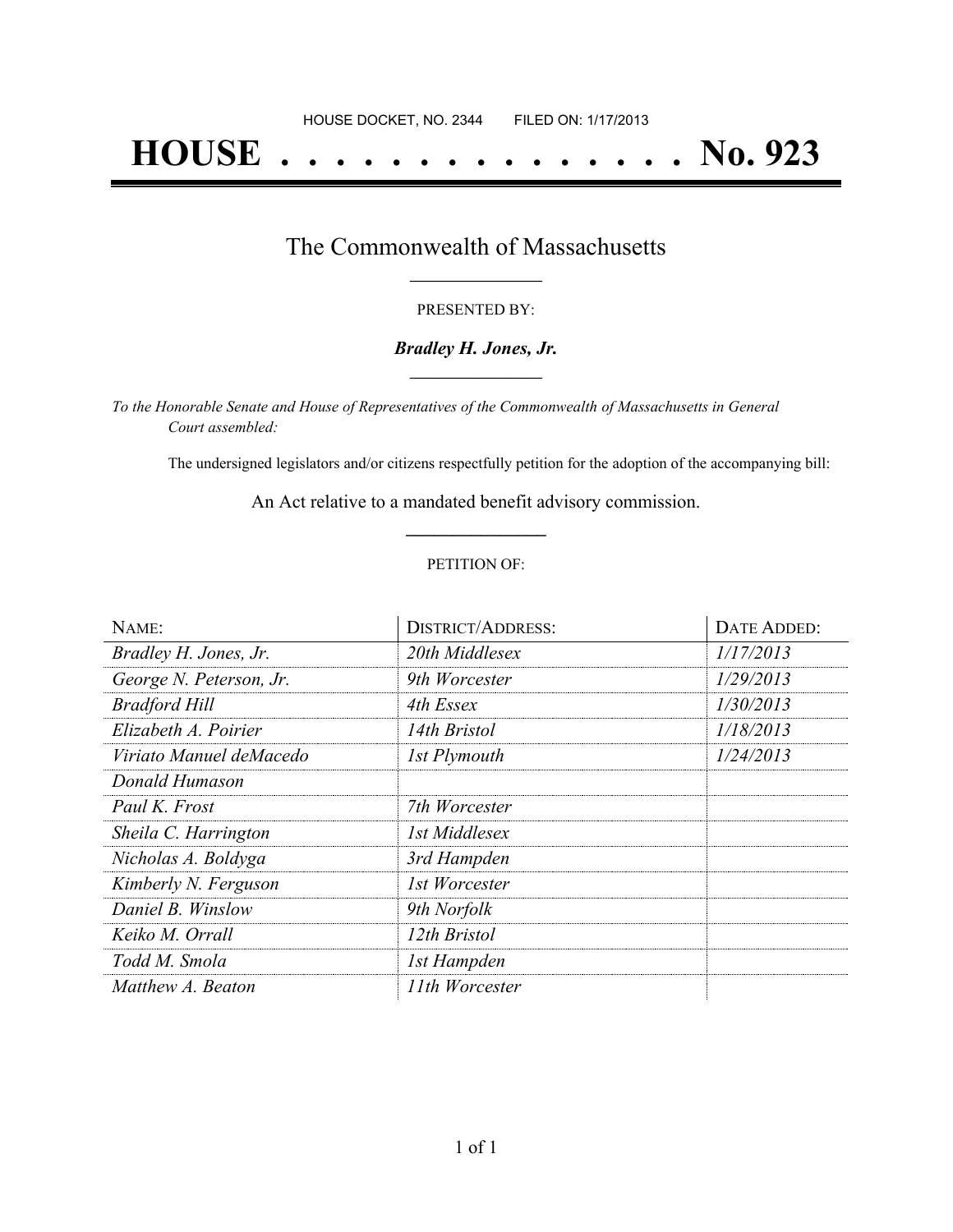# **HOUSE . . . . . . . . . . . . . . . No. 923**

### The Commonwealth of Massachusetts **\_\_\_\_\_\_\_\_\_\_\_\_\_\_\_\_\_**

#### PRESENTED BY:

#### *Bradley H. Jones, Jr.* **\_\_\_\_\_\_\_\_\_\_\_\_\_\_\_\_\_**

*To the Honorable Senate and House of Representatives of the Commonwealth of Massachusetts in General Court assembled:*

The undersigned legislators and/or citizens respectfully petition for the adoption of the accompanying bill:

An Act relative to a mandated benefit advisory commission. **\_\_\_\_\_\_\_\_\_\_\_\_\_\_\_**

#### PETITION OF:

| NAME:                   | <b>DISTRICT/ADDRESS:</b> | <b>DATE ADDED:</b> |
|-------------------------|--------------------------|--------------------|
| Bradley H. Jones, Jr.   | 20th Middlesex           | 1/17/2013          |
| George N. Peterson, Jr. | 9th Worcester            | 1/29/2013          |
| <b>Bradford Hill</b>    | 4th Essex                | 1/30/2013          |
| Elizabeth A. Poirier    | 14th Bristol             | 1/18/2013          |
| Viriato Manuel deMacedo | 1st Plymouth             | 1/24/2013          |
| Donald Humason          |                          |                    |
| Paul K. Frost           | 7th Worcester            |                    |
| Sheila C. Harrington    | 1st Middlesex            |                    |
| Nicholas A. Boldyga     | 3rd Hampden              |                    |
| Kimberly N. Ferguson    | 1st Worcester            |                    |
| Daniel B. Winslow       | 9th Norfolk              |                    |
| Keiko M. Orrall         | 12th Bristol             |                    |
| Todd M. Smola           | 1st Hampden              |                    |
| Matthew A. Beaton       | 11th Worcester           |                    |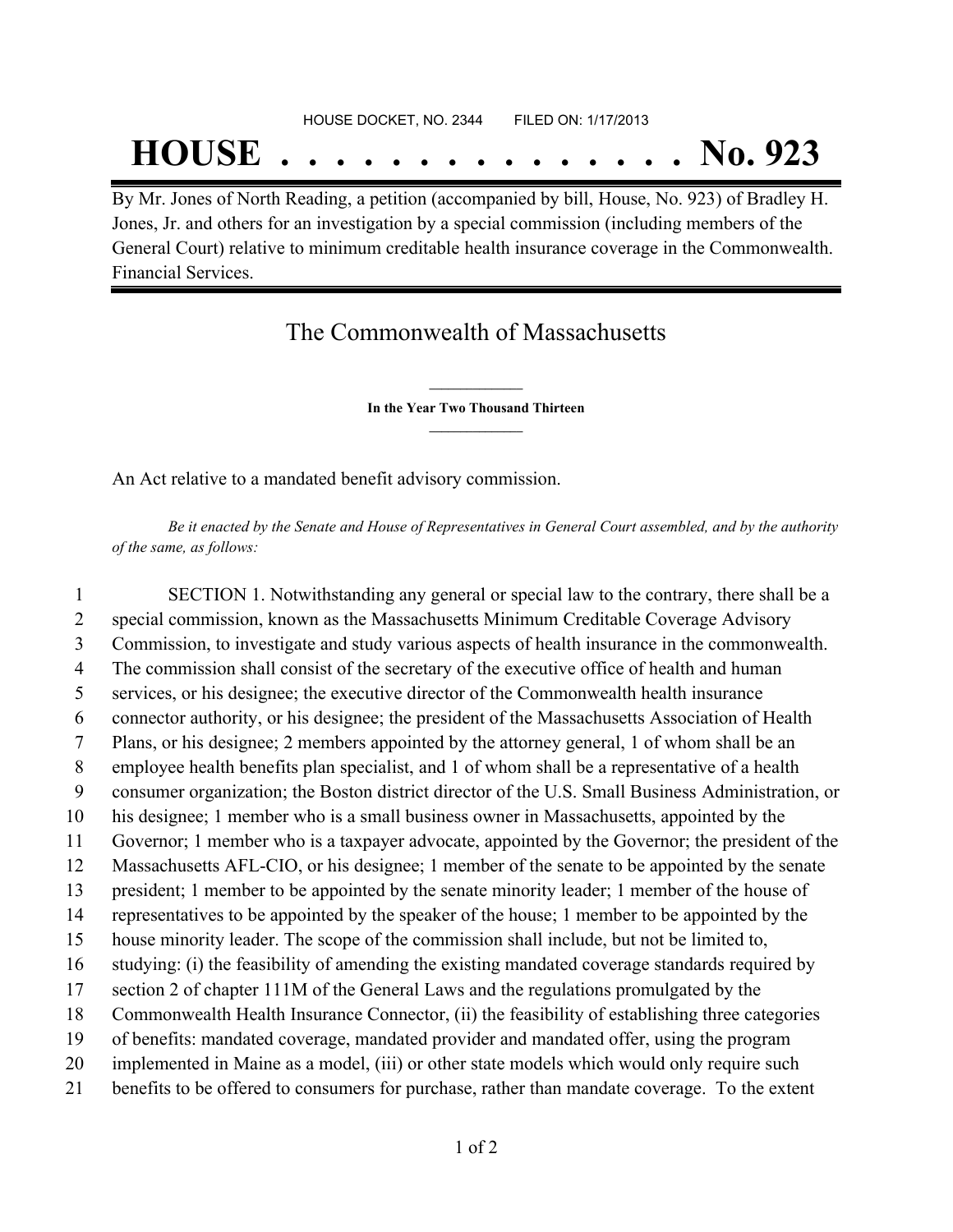## **HOUSE . . . . . . . . . . . . . . . No. 923**

By Mr. Jones of North Reading, a petition (accompanied by bill, House, No. 923) of Bradley H. Jones, Jr. and others for an investigation by a special commission (including members of the General Court) relative to minimum creditable health insurance coverage in the Commonwealth. Financial Services.

### The Commonwealth of Massachusetts

**\_\_\_\_\_\_\_\_\_\_\_\_\_\_\_ In the Year Two Thousand Thirteen \_\_\_\_\_\_\_\_\_\_\_\_\_\_\_**

An Act relative to a mandated benefit advisory commission.

Be it enacted by the Senate and House of Representatives in General Court assembled, and by the authority *of the same, as follows:*

 SECTION 1. Notwithstanding any general or special law to the contrary, there shall be a special commission, known as the Massachusetts Minimum Creditable Coverage Advisory Commission, to investigate and study various aspects of health insurance in the commonwealth. The commission shall consist of the secretary of the executive office of health and human services, or his designee; the executive director of the Commonwealth health insurance connector authority, or his designee; the president of the Massachusetts Association of Health Plans, or his designee; 2 members appointed by the attorney general, 1 of whom shall be an employee health benefits plan specialist, and 1 of whom shall be a representative of a health consumer organization; the Boston district director of the U.S. Small Business Administration, or his designee; 1 member who is a small business owner in Massachusetts, appointed by the Governor; 1 member who is a taxpayer advocate, appointed by the Governor; the president of the Massachusetts AFL-CIO, or his designee; 1 member of the senate to be appointed by the senate president; 1 member to be appointed by the senate minority leader; 1 member of the house of representatives to be appointed by the speaker of the house; 1 member to be appointed by the house minority leader. The scope of the commission shall include, but not be limited to, studying: (i) the feasibility of amending the existing mandated coverage standards required by section 2 of chapter 111M of the General Laws and the regulations promulgated by the Commonwealth Health Insurance Connector, (ii) the feasibility of establishing three categories of benefits: mandated coverage, mandated provider and mandated offer, using the program 20 implemented in Maine as a model, (iii) or other state models which would only require such benefits to be offered to consumers for purchase, rather than mandate coverage. To the extent